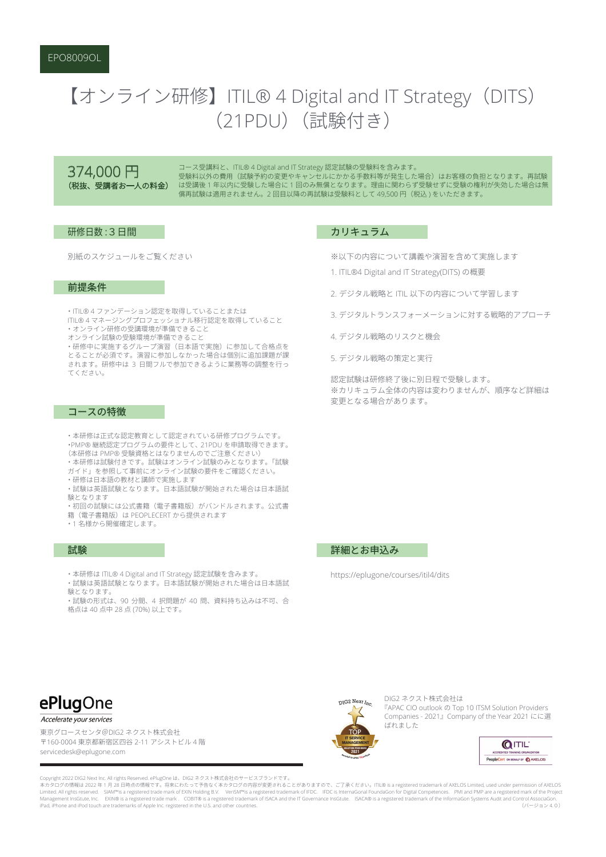# 【オンライン研修】ITIL® 4 Digital and IT Strategy (DITS) (21PDU) (試験付き)

374,000 円 (税抜、受講者お一人の料金)

コース受講料と、ITIL® 4 Digital and IT Strategy 認定試験の受験料を含みます。 受験料以外の費用(試験予約の変更やキャンセルにかかる手数料等が発生した場合)はお客様の負担となります。再試験 は受講後1年以内に受験した場合に1回のみ無償となります。理由に関わらず受験せずに受験の権利が失効した場合は無 償再試験は適用されません。2回目以降の再試験は受験料として 49,500円 (税込)をいただきます。

# 研修日数:3日間

別紙のスケジュールをご覧ください

### 前提条件

· ITIL®4ファンデーション認定を取得していることまたは ITIL®4マネージングプロフェッショナル移行認定を取得していること രനഞന⪚ᄟಥᐄ㙛⡟ᛜಃ⓾ᆜಞ಄ೂಊಟ

オンライン試験の受験環境が準備できること

・研修中に実施するグループ演習(日本語で実施)に参加して合格点を とることが必須です。演習に参加しなかった場合は個別に追加課題が課 されます。研修中は 3 日間フルで参加できるように業務等の調整を行っ てください。

#### コースの特徴

・本研修は正式な認定教育として認定されている研修プログラムです。 •PMP® 継続認定プログラムの要件として、21PDU を申請取得できます。 (本研修は PMP® 受験資格とはなりませんのでご注意ください) ・本研修は試験付きです。試験はオンライン試験のみとなります。「試験 ガイド」を参照して事前にオンライン試験の要件をご確認ください。

- ・研修は日本語の教材と講師で実施します ・試験は英語試験となります。日本語試験が開始された場合は日本語試
- 論となります 。<br>・初回の試験には公式書籍(電子書籍版)がバンドルされます。公式書
- 籍 (電子書籍版) は PEOPLECERT から提供されます
- •1名様から開催確定します。

## 試験

- ・本研修は ITIL® 4 Digital and IT Strategy 認定試験を含みます。
- ・試験は英語試験となります。日本語試験が開始された場合は日本語試 験となります。

……………………<br>・試験の形式は、90 分間、4 択問題が 40 問、資料持ち込みは不可、合 格点は 40 点中 28 点 (70%) 以上です。

#### カリキュラム

※以下の内容について講義や演習を含めて実施します

- 1. ITIL®4 Digital and IT Strategy(DITS) の概要
- 2. デジタル戦略と ITIL 以下の内容について学習します

3. デジタルトランスフォーメーションに対する戦略的アプローチ

- 4. デジタル戦略のリスクと機会
- 5 デジタル戦略の策定と実行

認定試験は研修終了後に別日程で受験します。 ※カリキュラム全体の内容は変わりませんが、順序など詳細は 変更となる場合があります。

## 詳細とお申込み

https://eplugone/courses/itil4/dits



#### Accelerate your services

東京グロースセンタ@DIG2 ネクスト株式会社 〒160-0004 東京都新宿区四谷 2-11 アシストビル 4 階 servicedesk@eplugone.com

Convright 2022 DIG2 Next Inc. All rights Reserved. ePlugOne は、DIG2 ネクスト株式会社のサービスブランドです

本カタログの情報は 2022 年 1 月 28 日時点の情報です。将来にわたって予告なく本カタログの内容が変更されることがありますので、ご了承ください。ITL® is a registered trademark of AXELOS Limited, used under permission of AXELOS<br>Limited. All rights reserved. SIAM™is a registered trade mark Management InsGtute, Inc. EXIN® is a registered trade mark. COBIT® is a registered trademark of ISACA and the IT Governance InsGtute. ISACA® is a registered trademark of the InformaGon Systems Audit and Control AssociaGo المستنقون المستنقون المستنقل المستنقل المستنقل المستنقل المستنقل المستنقل المستنقل المستنقل المستنقل المستنقل<br>iPad, iPhone and iPod touch are trademarks of Apple Inc. registered in the U.S. and other countries



DIG2 ネクスト株式会社は TAPAC CIO outlook の Top 10 ITSM Solution Providers Companies - 2021』Company of the Year 2021 にに選 ばれました